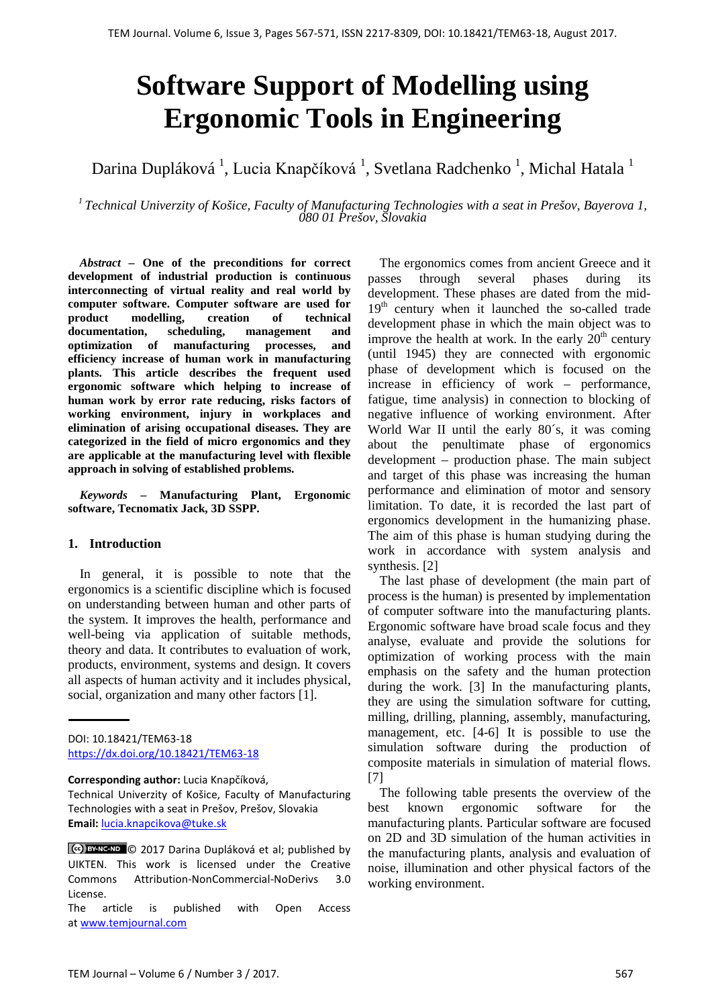# **Software Support of Modelling using Ergonomic Tools in Engineering**

Darina Dupláková <sup>1</sup>, Lucia Knapčíková <sup>1</sup>, Svetlana Radchenko <sup>1</sup>, Michal Hatala <sup>1</sup>

*<sup>1</sup> Technical Univerzity of Košice, Faculty of Manufacturing Technologies with a seat in Prešov, Bayerova 1, 080 01 Prešov, Slovakia*

*Abstract –* **One of the preconditions for correct development of industrial production is continuous interconnecting of virtual reality and real world by computer software. Computer software are used for product modelling, creation of technical documentation, scheduling, management and optimization of manufacturing processes, and efficiency increase of human work in manufacturing plants. This article describes the frequent used ergonomic software which helping to increase of human work by error rate reducing, risks factors of working environment, injury in workplaces and elimination of arising occupational diseases. They are categorized in the field of micro ergonomics and they are applicable at the manufacturing level with flexible approach in solving of established problems.**

*Keywords –* **Manufacturing Plant, Ergonomic software, Tecnomatix Jack, 3D SSPP.**

### **1. Introduction**

In general, it is possible to note that the ergonomics is a scientific discipline which is focused on understanding between human and other parts of the system. It improves the health, performance and well-being via application of suitable methods, theory and data. It contributes to evaluation of work, products, environment, systems and design. It covers all aspects of human activity and it includes physical, social, organization and many other factors [1].

**Corresponding author:** Lucia Knapčíková,

The article is published with Open Access a[t www.temjournal.com](http://www.temjournal.com/)

The ergonomics comes from ancient Greece and it passes through several phases during its development. These phases are dated from the mid- $19<sup>th</sup>$  century when it launched the so-called trade development phase in which the main object was to improve the health at work. In the early  $20<sup>th</sup>$  century (until 1945) they are connected with ergonomic phase of development which is focused on the increase in efficiency of work – performance, fatigue, time analysis) in connection to blocking of negative influence of working environment. After World War II until the early 80´s, it was coming about the penultimate phase of ergonomics development – production phase. The main subject and target of this phase was increasing the human performance and elimination of motor and sensory limitation. To date, it is recorded the last part of ergonomics development in the humanizing phase. The aim of this phase is human studying during the work in accordance with system analysis and synthesis. [2]

The last phase of development (the main part of process is the human) is presented by implementation of computer software into the manufacturing plants. Ergonomic software have broad scale focus and they analyse, evaluate and provide the solutions for optimization of working process with the main emphasis on the safety and the human protection during the work. [3] In the manufacturing plants, they are using the simulation software for cutting, milling, drilling, planning, assembly, manufacturing, management, etc. [4-6] It is possible to use the simulation software during the production of composite materials in simulation of material flows. [7]

The following table presents the overview of the best known ergonomic software for the manufacturing plants. Particular software are focused on 2D and 3D simulation of the human activities in the manufacturing plants, analysis and evaluation of noise, illumination and other physical factors of the working environment.

DOI: 10.18421/TEM63-18 <https://dx.doi.org/10.18421/TEM63-18>

Technical Univerzity of Košice, Faculty of Manufacturing Technologies with a seat in Prešov, Prešov, Slovakia **Email:** lucia.knapcikova@tuke.sk

<sup>© 2017</sup> Darina Dupláková et al; published by UIKTEN. This work is licensed under the Creative Commons Attribution-NonCommercial-NoDerivs 3.0 License.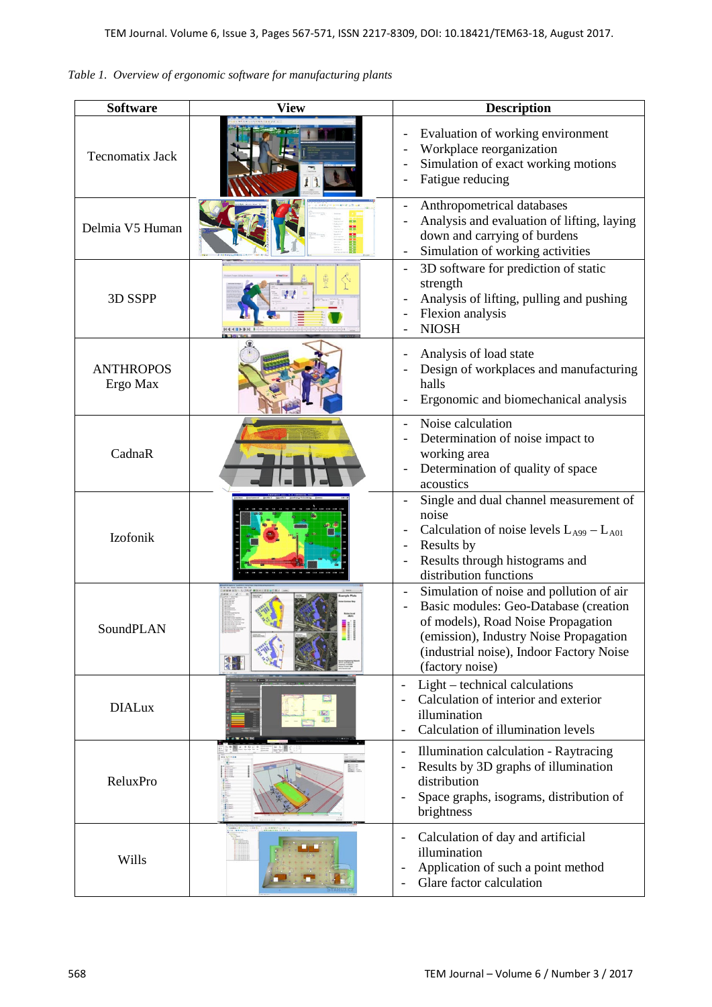| <b>Software</b>              | <b>View</b>   | <b>Description</b>                                                                                                                                                                                                               |
|------------------------------|---------------|----------------------------------------------------------------------------------------------------------------------------------------------------------------------------------------------------------------------------------|
| <b>Tecnomatix Jack</b>       |               | Evaluation of working environment<br>Workplace reorganization<br>Simulation of exact working motions<br>Fatigue reducing                                                                                                         |
| Delmia V5 Human              |               | Anthropometrical databases<br>Analysis and evaluation of lifting, laying<br>down and carrying of burdens<br>Simulation of working activities                                                                                     |
| 3D SSPP                      |               | 3D software for prediction of static<br>$\overline{\phantom{a}}$<br>strength<br>Analysis of lifting, pulling and pushing<br>Flexion analysis<br><b>NIOSH</b>                                                                     |
| <b>ANTHROPOS</b><br>Ergo Max |               | Analysis of load state<br>Design of workplaces and manufacturing<br>halls<br>Ergonomic and biomechanical analysis                                                                                                                |
| CadnaR                       |               | Noise calculation<br>$\overline{\phantom{0}}$<br>Determination of noise impact to<br>working area<br>Determination of quality of space<br>acoustics                                                                              |
| Izofonik                     |               | Single and dual channel measurement of<br>noise<br>Calculation of noise levels $L_{A99} - L_{A01}$<br>Results by<br>Results through histograms and<br>distribution functions                                                     |
| SoundPLAN                    | $\frac{4}{4}$ | Simulation of noise and pollution of air<br>Basic modules: Geo-Database (creation<br>of models), Road Noise Propagation<br>(emission), Industry Noise Propagation<br>(industrial noise), Indoor Factory Noise<br>(factory noise) |
| <b>DIALux</b>                |               | Light – technical calculations<br>Calculation of interior and exterior<br>illumination<br>Calculation of illumination levels                                                                                                     |
| ReluxPro                     |               | Illumination calculation - Raytracing<br>$\overline{\phantom{a}}$<br>Results by 3D graphs of illumination<br>distribution<br>Space graphs, isograms, distribution of<br>brightness                                               |
| Wills                        |               | Calculation of day and artificial<br>illumination<br>Application of such a point method<br>Glare factor calculation                                                                                                              |

*Table 1. Overview of ergonomic software for manufacturing plants*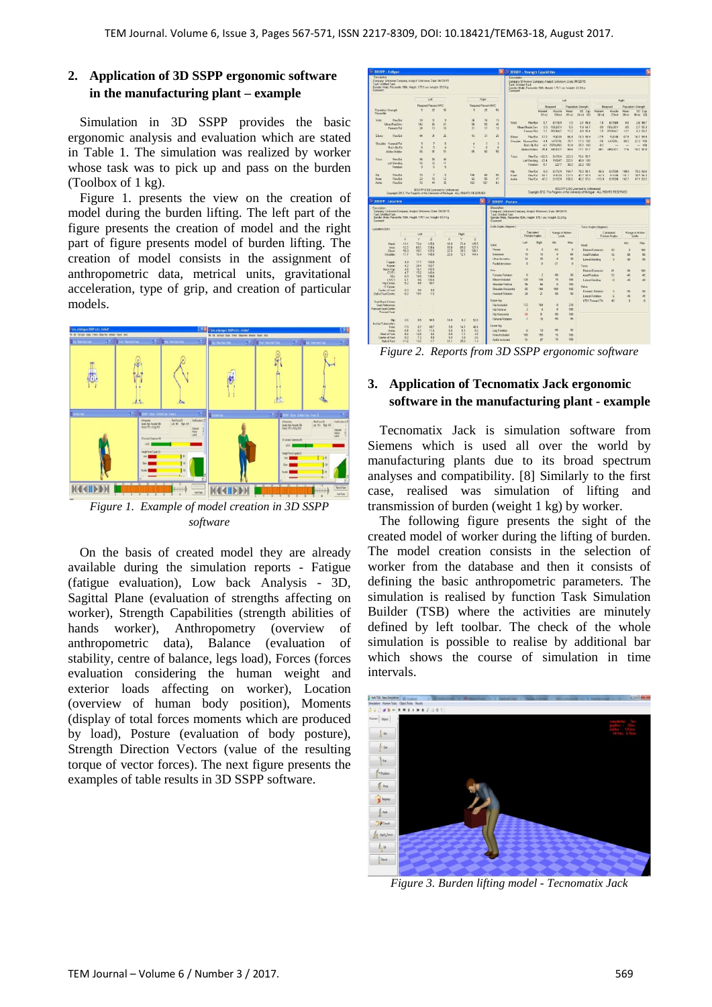# **2. Application of 3D SSPP ergonomic software in the manufacturing plant – example**

Simulation in 3D SSPP provides the basic ergonomic analysis and evaluation which are stated in Table 1. The simulation was realized by worker whose task was to pick up and pass on the burden (Toolbox of 1 kg).

Figure 1. presents the view on the creation of model during the burden lifting. The left part of the figure presents the creation of model and the right part of figure presents model of burden lifting. The creation of model consists in the assignment of anthropometric data, metrical units, gravitational acceleration, type of grip, and creation of particular models.



*software*

On the basis of created model they are already available during the simulation reports - Fatigue (fatigue evaluation), Low back Analysis - 3D, Sagittal Plane (evaluation of strengths affecting on worker), Strength Capabilities (strength abilities of hands worker), Anthropometry (overview of anthropometric data), Balance (evaluation of stability, centre of balance, legs load), Forces (forces evaluation considering the human weight and exterior loads affecting on worker), Location (overview of human body position), Moments (display of total forces moments which are produced by load), Posture (evaluation of body posture), Strength Direction Vectors (value of the resulting torque of vector forces). The next figure presents the examples of table results in 3D SSPP software.



*Figure 2. Reports from 3D SSPP ergonomic software*

# **3. Application of Tecnomatix Jack ergonomic software in the manufacturing plant - example**

Tecnomatix Jack is simulation software from Siemens which is used all over the world by manufacturing plants due to its broad spectrum analyses and compatibility. [8] Similarly to the first case, realised was simulation of lifting and transmission of burden (weight 1 kg) by worker.

The following figure presents the sight of the created model of worker during the lifting of burden. The model creation consists in the selection of worker from the database and then it consists of defining the basic anthropometric parameters. The simulation is realised by function Task Simulation Builder (TSB) where the activities are minutely defined by left toolbar. The check of the whole simulation is possible to realise by additional bar which shows the course of simulation in time intervals.



*Figure 3. Burden lifting model - Tecnomatix Jack*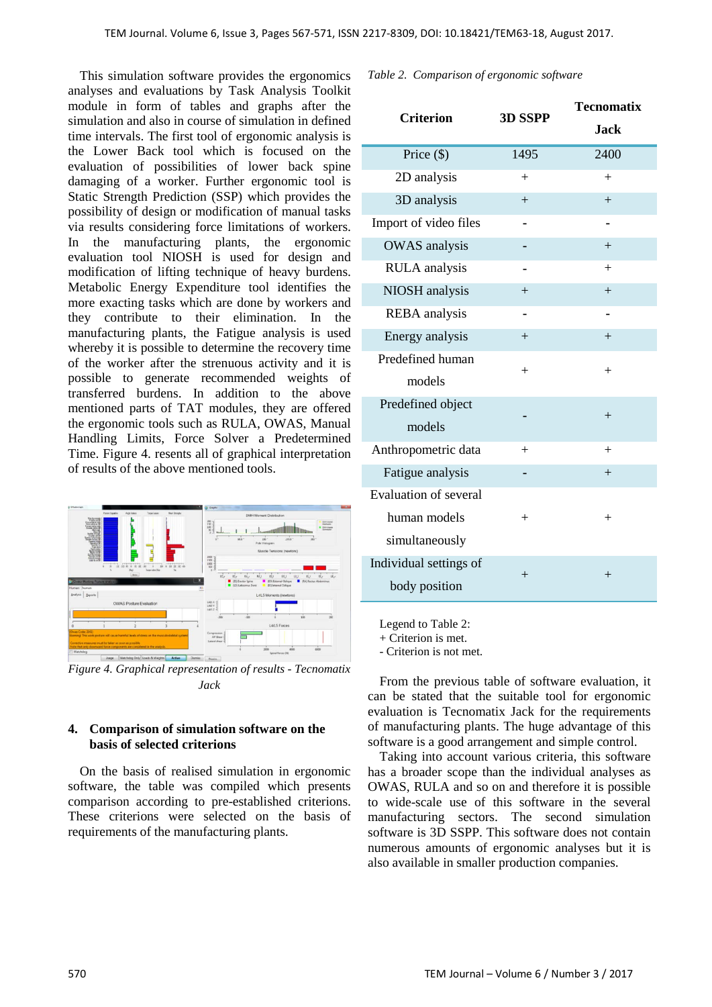This simulation software provides the ergonomics analyses and evaluations by Task Analysis Toolkit module in form of tables and graphs after the simulation and also in course of simulation in defined time intervals. The first tool of ergonomic analysis is the Lower Back tool which is focused on the evaluation of possibilities of lower back spine damaging of a worker. Further ergonomic tool is Static Strength Prediction (SSP) which provides the possibility of design or modification of manual tasks via results considering force limitations of workers. In the manufacturing plants, the ergonomic evaluation tool NIOSH is used for design and modification of lifting technique of heavy burdens. Metabolic Energy Expenditure tool identifies the more exacting tasks which are done by workers and they contribute to their elimination. In the manufacturing plants, the Fatigue analysis is used whereby it is possible to determine the recovery time of the worker after the strenuous activity and it is possible to generate recommended weights of transferred burdens. In addition to the above mentioned parts of TAT modules, they are offered the ergonomic tools such as RULA, OWAS, Manual Handling Limits, Force Solver a Predetermined Time. Figure 4. resents all of graphical interpretation of results of the above mentioned tools.



*Figure 4. Graphical representation of results - Tecnomatix Jack*

## **4. Comparison of simulation software on the basis of selected criterions**

On the basis of realised simulation in ergonomic software, the table was compiled which presents comparison according to pre-established criterions. These criterions were selected on the basis of requirements of the manufacturing plants.

*Table 2. Comparison of ergonomic software*

|        | <b>Tecnomatix</b> |
|--------|-------------------|
|        | <b>Jack</b>       |
| 1495   | 2400              |
| $^{+}$ | $+$               |
| $+$    | $+$               |
|        |                   |
|        | $+$               |
|        | $^{+}$            |
| $+$    | $+$               |
|        |                   |
| $+$    | $+$               |
| $^{+}$ | $^{+}$            |
|        |                   |
|        |                   |
| $+$    | $+$               |
|        | $+$               |
|        |                   |
| $^{+}$ | $^{+}$            |
|        |                   |
| $^{+}$ | $^{+}$            |
|        |                   |
|        | 3D SSPP           |

Legend to Table 2:

+ Criterion is met.

- Criterion is not met.

From the previous table of software evaluation, it can be stated that the suitable tool for ergonomic evaluation is Tecnomatix Jack for the requirements of manufacturing plants. The huge advantage of this software is a good arrangement and simple control.

Taking into account various criteria, this software has a broader scope than the individual analyses as OWAS, RULA and so on and therefore it is possible to wide-scale use of this software in the several manufacturing sectors. The second simulation software is 3D SSPP. This software does not contain numerous amounts of ergonomic analyses but it is also available in smaller production companies.